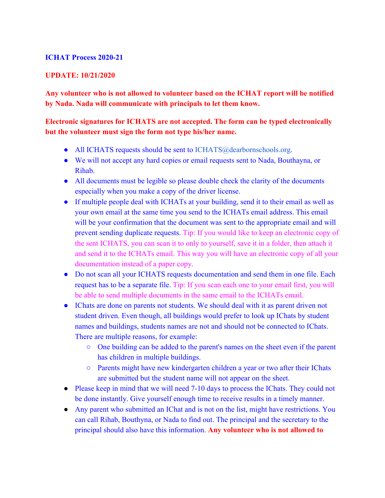## **ICHAT Process 2020-21**

## **UPDATE: 10/21/2020**

**Any volunteer who is not allowed to volunteer based on the ICHAT report will be notified by Nada. Nada will communicate with principals to let them know.**

## **Electronic signatures for ICHATS are not accepted. The form can be typed electronically but the volunteer must sign the form not type his/her name.**

- All ICHATS requests should be sent to ICHATS@dearbornschools.org.
- We will not accept any hard copies or email requests sent to Nada, Bouthayna, or Rihab.
- All documents must be legible so please double check the clarity of the documents especially when you make a copy of the driver license.
- If multiple people deal with ICHATs at your building, send it to their email as well as your own email at the same time you send to the ICHATs email address. This email will be your confirmation that the document was sent to the appropriate email and will prevent sending duplicate requests. Tip: If you would like to keep an electronic copy of the sent ICHATS, you can scan it to only to yourself, save it in a folder, then attach it and send it to the ICHATs email. This way you will have an electronic copy of all your documentation instead of a paper copy.
- Do not scan all your ICHATS requests documentation and send them in one file. Each request has to be a separate file. Tip: If you scan each one to your email first, you will be able to send multiple documents in the same email to the ICHATs email.
- IChats are done on parents not students. We should deal with it as parent driven not student driven. Even though, all buildings would prefer to look up IChats by student names and buildings, students names are not and should not be connected to IChats. There are multiple reasons, for example:
	- One building can be added to the parent's names on the sheet even if the parent has children in multiple buildings.
	- Parents might have new kindergarten children a year or two after their IChats are submitted but the student name will not appear on the sheet.
- Please keep in mind that we will need 7-10 days to process the IChats. They could not be done instantly. Give yourself enough time to receive results in a timely manner.
- Any parent who submitted an IChat and is not on the list, might have restrictions. You can call Rihab, Bouthyna, or Nada to find out. The principal and the secretary to the principal should also have this information. **Any volunteer who is not allowed to**